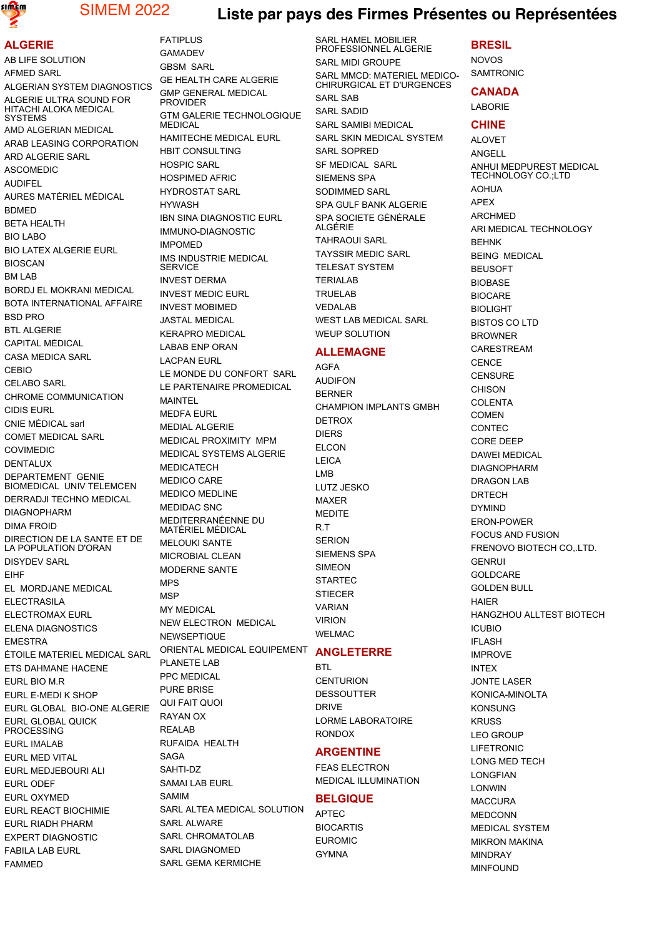

# SIMEM 2022 **Liste par pays des Firmes Présentes ou Représentées**

### **ALGERIE**

AB LIFE SOLUTION AFMED SARL ALGERIAN SYSTEM DIAGNOSTICS ALGERIE ULTRA SOUND FOR HITACHI ALOKA MEDICAL **SYSTEMS** AMD ALGERIAN MEDICAL ARAB LEASING CORPORATION ARD ALGERIE SARL ASCOMEDIC AUDIFEL AURES MATÉRIEL MÉDICAL **BDMED** BETA HEALTH BIO LABO BIO LATEX ALGERIE EURL BIOSCAN BM LAB BORDJ EL MOKRANI MEDICAL BOTA INTERNATIONAL AFFAIRE BSD PRC BTL ALGERIE CAPITAL MÉDICAL CASA MEDICA SARL CEBIO CELABO SARL CHROME COMMUNICATION CIDIS EURL CNIE MÉDICAL sarl COMET MEDICAL SARL COVIMEDIC DENTALUX DEPARTEMENT GENIE BIOMEDICAL UNIV TELEMCEN DERRADJI TECHNO MEDICAL DIAGNOPHARM DIMA FROID DIRECTION DE LA SANTE ET DE LA POPULATION D'ORAN DISYDEV SARL EIHF EL MORDJANE MEDICAL **ELECTRASILA** ELECTROMAX EURL ELENA DIAGNOSTICS **EMESTRA** ÉTOILE MATERIEL MEDICAL SARL ETS DAHMANE HACENE EURL BIO M.R EURL E-MEDI K SHOP EURL GLOBAL BIO-ONE ALGERIE EURL GLOBAL QUICK PROCESSING EURL IMALAB EURL MED VITAL EURL MEDJEBOURI ALI EURL ODEF EURL OXYMED EURL REACT BIOCHIMIE EURL RIADH PHARM EXPERT DIAGNOSTIC FABILA LAB EURL FAMMED

FATIPLUS GAMADEV GBSM SARL GE HEALTH CARE ALGERIE GMP GENERAL MEDICAL **PROVIDER** GTM GALERIE TECHNOLOGIQUE MEDICAL HAMITECHE MEDICAL EURL HBIT CONSULTING HOSPIC SARL HOSPIMED AFRIC HYDROSTAT SARL HYWASH **IBN SINA DIAGNOSTIC EURL** IMMUNO-DIAGNOSTIC IMPOMED IMS INDUSTRIE MEDICAL **SERVICE** INVEST DERMA INVEST MEDIC EURL INVEST MOBIMED JASTAL MEDICAL KERAPRO MEDICAL LABAB ENP ORAN LACPAN EURL LE MONDE DU CONFORT SARL LE PARTENAIRE PROMEDICAL MAINTEL MEDFA EURL MEDIAL ALGERIE MEDICAL PROXIMITY MPM MEDICAL SYSTEMS ALGERIE MEDICATECH MEDICO CARE MEDICO MEDLINE MEDIDAC SNC MEDITERRANÉENNE DU MATÉRIEL MÉDICAL MELOUKI SANTE MICROBIAL CLEAN MODERNE SANTE MPS **MSP** MY MEDICAL NEW ELECTRON MEDICAL **NEWSEPTIQUE** ORIENTAL MEDICAL EQUIPEMENT PLANETE LAB PPC MEDICAL PURE BRISE QUI FAIT QUOI RAYAN OX REALAB RUFAIDA HEALTH SAGA SAHTI-DZ SAMAI LAB FURL SAMIM SARL ALTEA MEDICAL SOLUTION SARL ALWARE SARL CHROMATOLAR SARL DIAGNOMED

SARL GEMA KERMICHE

SARL HAMEL MOBILIER PROFESSIONNEL ALGERIE SARL MIDI GROUPE SARL MMCD: MATERIEL MEDICO-CHIRURGICAL ET D'URGENCES SARL SAB SARL SADID SARL SAMIBI MEDICAL SARL SKIN MEDICAL SYSTEM SARL SOPRED SF MEDICAL SARL SIEMENS SPA SODIMMED SARL SPA GULF BANK ALGERIE SPA SOCIETE GÉNÉRALE ALGÉRIE TAHRAOUI SARL TAYSSIR MEDIC SARL TELESAT SYSTEM TERIALAB TRUELAB VEDALAB WEST LAB MEDICAL SARL

# WEUP SOLUTION **ALLEMAGNE**

AGFA AUDIFON BERNER CHAMPION IMPLANTS GMBH DETROX DIERS ELCON LEICA LMB LUTZ JESKO MAXER MEDITE R.T **SERION** SIEMENS SPA SIMEON STARTEC **STIFCER** VARIAN VIRION WELMAC **ANGLETERRE BTL** 

**CENTURION** DESSOUTTER DRIVE LORME LABORATOIRE RONDOX

### **ARGENTINE**

FEAS ELECTRON MEDICAL ILLUMINATION

### **BELGIQUE**

APTEC **BIOCARTIS** EUROMIC **GYMNA** 

### **BRESIL**

NOVOS SAMTRONIC

### **CANADA**

LABORIE

### **CHINE**

ALOVET ANGELL ANHUI MEDPUREST MEDICAL TECHNOLOGY CO.;LTD AOHUA APEX ARCHMED ARI MEDICAL TECHNOLOGY **BEHNK** BEING MEDICAL **BEUSOFT** BIOBASE BIOCARE BIOLIGHT BISTOS CO LTD BROWNER CARESTREAM **CENCE CENSURE CHISON COLENTA** COMEN **CONTEC** CORE DEEP DAWEI MEDICAL DIAGNOPHARM DRAGON LAB DRTECH DYMIND ERON-POWER FOCUS AND FUSION FRENOVO BIOTECH CO,.LTD. GENRUI GOLDCARE GOLDEN BULL HAIER HANGZHOU ALLTEST BIOTECH ICUBIO **IFLASH** IMPROVE INTEX JONTE LASER KONICA-MINOLTA KONSUNG KRUSS LEO GROUP LIFETRONIC LONG MED TECH LONGFIAN LONWIN MACCURA **MEDCONN** MEDICAL SYSTEM MIKRON MAKINA MINDRAY MINFOUND